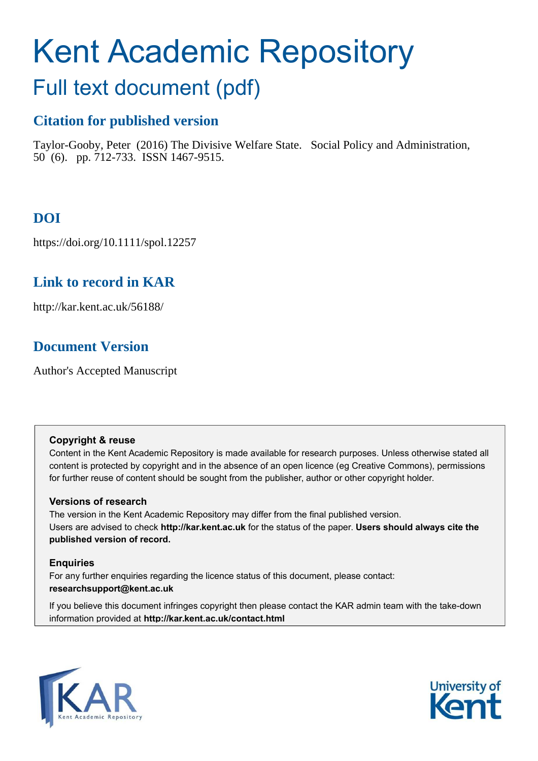# Kent Academic Repository

## Full text document (pdf)

### **Citation for published version**

Taylor-Gooby, Peter (2016) The Divisive Welfare State. Social Policy and Administration, 50 (6). pp. 712-733. ISSN 1467-9515.

## **DOI**

https://doi.org/10.1111/spol.12257

## **Link to record in KAR**

http://kar.kent.ac.uk/56188/

## **Document Version**

Author's Accepted Manuscript

#### **Copyright & reuse**

Content in the Kent Academic Repository is made available for research purposes. Unless otherwise stated all content is protected by copyright and in the absence of an open licence (eg Creative Commons), permissions for further reuse of content should be sought from the publisher, author or other copyright holder.

#### **Versions of research**

The version in the Kent Academic Repository may differ from the final published version. Users are advised to check **http://kar.kent.ac.uk** for the status of the paper. **Users should always cite the published version of record.**

#### **Enquiries**

For any further enquiries regarding the licence status of this document, please contact: **researchsupport@kent.ac.uk**

If you believe this document infringes copyright then please contact the KAR admin team with the take-down information provided at **http://kar.kent.ac.uk/contact.html**



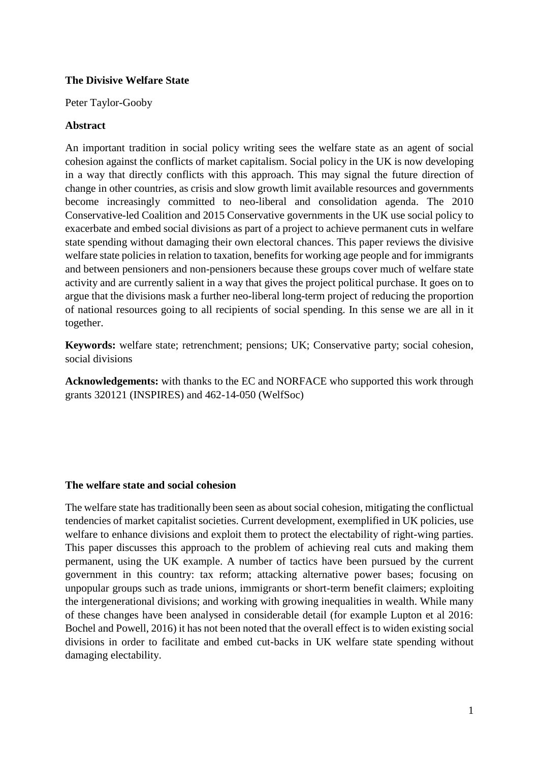#### **The Divisive Welfare State**

Peter Taylor-Gooby

#### **Abstract**

An important tradition in social policy writing sees the welfare state as an agent of social cohesion against the conflicts of market capitalism. Social policy in the UK is now developing in a way that directly conflicts with this approach. This may signal the future direction of change in other countries, as crisis and slow growth limit available resources and governments become increasingly committed to neo-liberal and consolidation agenda. The 2010 Conservative-led Coalition and 2015 Conservative governments in the UK use social policy to exacerbate and embed social divisions as part of a project to achieve permanent cuts in welfare state spending without damaging their own electoral chances. This paper reviews the divisive welfare state policies in relation to taxation, benefits for working age people and for immigrants and between pensioners and non-pensioners because these groups cover much of welfare state activity and are currently salient in a way that gives the project political purchase. It goes on to argue that the divisions mask a further neo-liberal long-term project of reducing the proportion of national resources going to all recipients of social spending. In this sense we are all in it together.

**Keywords:** welfare state; retrenchment; pensions; UK; Conservative party; social cohesion, social divisions

**Acknowledgements:** with thanks to the EC and NORFACE who supported this work through grants 320121 (INSPIRES) and 462-14-050 (WelfSoc)

#### **The welfare state and social cohesion**

The welfare state has traditionally been seen as about social cohesion, mitigating the conflictual tendencies of market capitalist societies. Current development, exemplified in UK policies, use welfare to enhance divisions and exploit them to protect the electability of right-wing parties. This paper discusses this approach to the problem of achieving real cuts and making them permanent, using the UK example. A number of tactics have been pursued by the current government in this country: tax reform; attacking alternative power bases; focusing on unpopular groups such as trade unions, immigrants or short-term benefit claimers; exploiting the intergenerational divisions; and working with growing inequalities in wealth. While many of these changes have been analysed in considerable detail (for example Lupton et al 2016: Bochel and Powell, 2016) it has not been noted that the overall effect is to widen existing social divisions in order to facilitate and embed cut-backs in UK welfare state spending without damaging electability.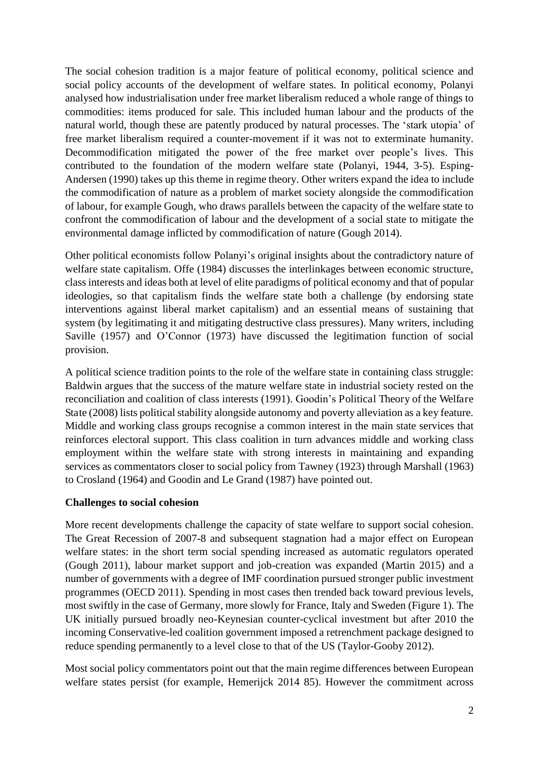The social cohesion tradition is a major feature of political economy, political science and social policy accounts of the development of welfare states. In political economy, Polanyi analysed how industrialisation under free market liberalism reduced a whole range of things to commodities: items produced for sale. This included human labour and the products of the natural world, though these are patently produced by natural processes. The 'stark utopia' of free market liberalism required a counter-movement if it was not to exterminate humanity. Decommodification mitigated the power of the free market over people's lives. This contributed to the foundation of the modern welfare state (Polanyi, 1944, 3-5). Esping-Andersen (1990) takes up this theme in regime theory. Other writers expand the idea to include the commodification of nature as a problem of market society alongside the commodification of labour, for example Gough, who draws parallels between the capacity of the welfare state to confront the commodification of labour and the development of a social state to mitigate the environmental damage inflicted by commodification of nature (Gough 2014).

Other political economists follow Polanyi's original insights about the contradictory nature of welfare state capitalism. Offe (1984) discusses the interlinkages between economic structure, class interests and ideas both at level of elite paradigms of political economy and that of popular ideologies, so that capitalism finds the welfare state both a challenge (by endorsing state interventions against liberal market capitalism) and an essential means of sustaining that system (by legitimating it and mitigating destructive class pressures). Many writers, including Saville (1957) and O'Connor (1973) have discussed the legitimation function of social provision.

A political science tradition points to the role of the welfare state in containing class struggle: Baldwin argues that the success of the mature welfare state in industrial society rested on the reconciliation and coalition of class interests (1991). Goodin's Political Theory of the Welfare State (2008) lists political stability alongside autonomy and poverty alleviation as a key feature. Middle and working class groups recognise a common interest in the main state services that reinforces electoral support. This class coalition in turn advances middle and working class employment within the welfare state with strong interests in maintaining and expanding services as commentators closer to social policy from Tawney (1923) through Marshall (1963) to Crosland (1964) and Goodin and Le Grand (1987) have pointed out.

#### **Challenges to social cohesion**

More recent developments challenge the capacity of state welfare to support social cohesion. The Great Recession of 2007-8 and subsequent stagnation had a major effect on European welfare states: in the short term social spending increased as automatic regulators operated (Gough 2011), labour market support and job-creation was expanded (Martin 2015) and a number of governments with a degree of IMF coordination pursued stronger public investment programmes (OECD 2011). Spending in most cases then trended back toward previous levels, most swiftly in the case of Germany, more slowly for France, Italy and Sweden (Figure 1). The UK initially pursued broadly neo-Keynesian counter-cyclical investment but after 2010 the incoming Conservative-led coalition government imposed a retrenchment package designed to reduce spending permanently to a level close to that of the US (Taylor-Gooby 2012).

Most social policy commentators point out that the main regime differences between European welfare states persist (for example, Hemerijck 2014 85). However the commitment across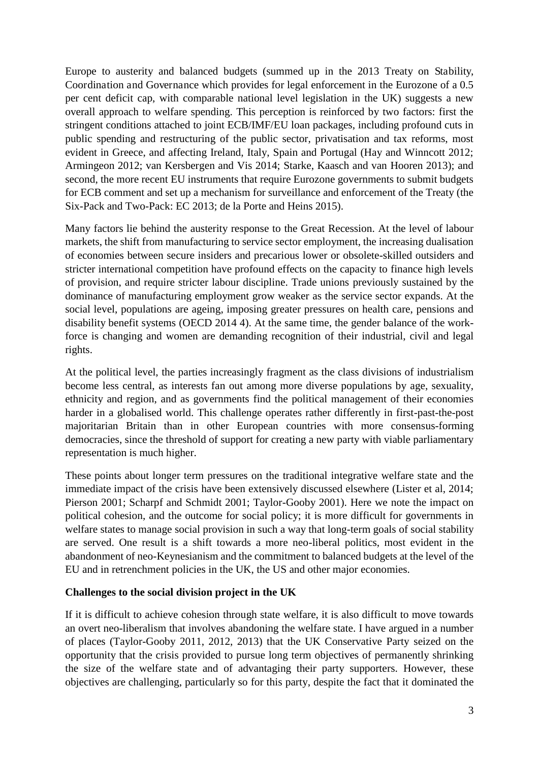Europe to austerity and balanced budgets (summed up in the 2013 Treaty on Stability, Coordination and Governance which provides for legal enforcement in the Eurozone of a 0.5 per cent deficit cap, with comparable national level legislation in the UK) suggests a new overall approach to welfare spending. This perception is reinforced by two factors: first the stringent conditions attached to joint ECB/IMF/EU loan packages, including profound cuts in public spending and restructuring of the public sector, privatisation and tax reforms, most evident in Greece, and affecting Ireland, Italy, Spain and Portugal (Hay and Winncott 2012; Armingeon 2012; van Kersbergen and Vis 2014; Starke, Kaasch and van Hooren 2013); and second, the more recent EU instruments that require Eurozone governments to submit budgets for ECB comment and set up a mechanism for surveillance and enforcement of the Treaty (the Six-Pack and Two-Pack: EC 2013; de la Porte and Heins 2015).

Many factors lie behind the austerity response to the Great Recession. At the level of labour markets, the shift from manufacturing to service sector employment, the increasing dualisation of economies between secure insiders and precarious lower or obsolete-skilled outsiders and stricter international competition have profound effects on the capacity to finance high levels of provision, and require stricter labour discipline. Trade unions previously sustained by the dominance of manufacturing employment grow weaker as the service sector expands. At the social level, populations are ageing, imposing greater pressures on health care, pensions and disability benefit systems (OECD 2014 4). At the same time, the gender balance of the workforce is changing and women are demanding recognition of their industrial, civil and legal rights.

At the political level, the parties increasingly fragment as the class divisions of industrialism become less central, as interests fan out among more diverse populations by age, sexuality, ethnicity and region, and as governments find the political management of their economies harder in a globalised world. This challenge operates rather differently in first-past-the-post majoritarian Britain than in other European countries with more consensus-forming democracies, since the threshold of support for creating a new party with viable parliamentary representation is much higher.

These points about longer term pressures on the traditional integrative welfare state and the immediate impact of the crisis have been extensively discussed elsewhere (Lister et al, 2014; Pierson 2001; Scharpf and Schmidt 2001; Taylor-Gooby 2001). Here we note the impact on political cohesion, and the outcome for social policy; it is more difficult for governments in welfare states to manage social provision in such a way that long-term goals of social stability are served. One result is a shift towards a more neo-liberal politics, most evident in the abandonment of neo-Keynesianism and the commitment to balanced budgets at the level of the EU and in retrenchment policies in the UK, the US and other major economies.

#### **Challenges to the social division project in the UK**

If it is difficult to achieve cohesion through state welfare, it is also difficult to move towards an overt neo-liberalism that involves abandoning the welfare state. I have argued in a number of places (Taylor-Gooby 2011, 2012, 2013) that the UK Conservative Party seized on the opportunity that the crisis provided to pursue long term objectives of permanently shrinking the size of the welfare state and of advantaging their party supporters. However, these objectives are challenging, particularly so for this party, despite the fact that it dominated the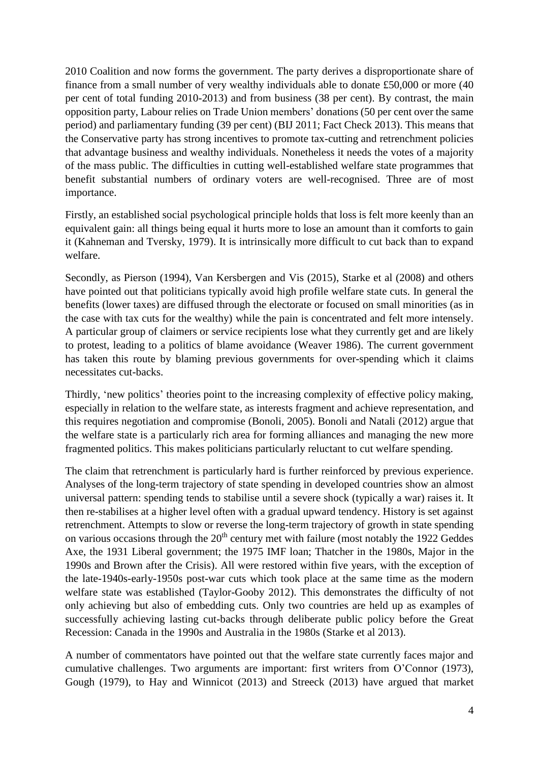2010 Coalition and now forms the government. The party derives a disproportionate share of finance from a small number of very wealthy individuals able to donate £50,000 or more (40 per cent of total funding 2010-2013) and from business (38 per cent). By contrast, the main opposition party, Labour relies on Trade Union members' donations (50 per cent over the same period) and parliamentary funding (39 per cent) (BIJ 2011; Fact Check 2013). This means that the Conservative party has strong incentives to promote tax-cutting and retrenchment policies that advantage business and wealthy individuals. Nonetheless it needs the votes of a majority of the mass public. The difficulties in cutting well-established welfare state programmes that benefit substantial numbers of ordinary voters are well-recognised. Three are of most importance.

Firstly, an established social psychological principle holds that loss is felt more keenly than an equivalent gain: all things being equal it hurts more to lose an amount than it comforts to gain it (Kahneman and Tversky, 1979). It is intrinsically more difficult to cut back than to expand welfare.

Secondly, as Pierson (1994), Van Kersbergen and Vis (2015), Starke et al (2008) and others have pointed out that politicians typically avoid high profile welfare state cuts. In general the benefits (lower taxes) are diffused through the electorate or focused on small minorities (as in the case with tax cuts for the wealthy) while the pain is concentrated and felt more intensely. A particular group of claimers or service recipients lose what they currently get and are likely to protest, leading to a politics of blame avoidance (Weaver 1986). The current government has taken this route by blaming previous governments for over-spending which it claims necessitates cut-backs.

Thirdly, 'new politics' theories point to the increasing complexity of effective policy making, especially in relation to the welfare state, as interests fragment and achieve representation, and this requires negotiation and compromise (Bonoli, 2005). Bonoli and Natali (2012) argue that the welfare state is a particularly rich area for forming alliances and managing the new more fragmented politics. This makes politicians particularly reluctant to cut welfare spending.

The claim that retrenchment is particularly hard is further reinforced by previous experience. Analyses of the long-term trajectory of state spending in developed countries show an almost universal pattern: spending tends to stabilise until a severe shock (typically a war) raises it. It then re-stabilises at a higher level often with a gradual upward tendency. History is set against retrenchment. Attempts to slow or reverse the long-term trajectory of growth in state spending on various occasions through the 20<sup>th</sup> century met with failure (most notably the 1922 Geddes Axe, the 1931 Liberal government; the 1975 IMF loan; Thatcher in the 1980s, Major in the 1990s and Brown after the Crisis). All were restored within five years, with the exception of the late-1940s-early-1950s post-war cuts which took place at the same time as the modern welfare state was established (Taylor-Gooby 2012). This demonstrates the difficulty of not only achieving but also of embedding cuts. Only two countries are held up as examples of successfully achieving lasting cut-backs through deliberate public policy before the Great Recession: Canada in the 1990s and Australia in the 1980s (Starke et al 2013).

A number of commentators have pointed out that the welfare state currently faces major and cumulative challenges. Two arguments are important: first writers from O'Connor (1973), Gough (1979), to Hay and Winnicot (2013) and Streeck (2013) have argued that market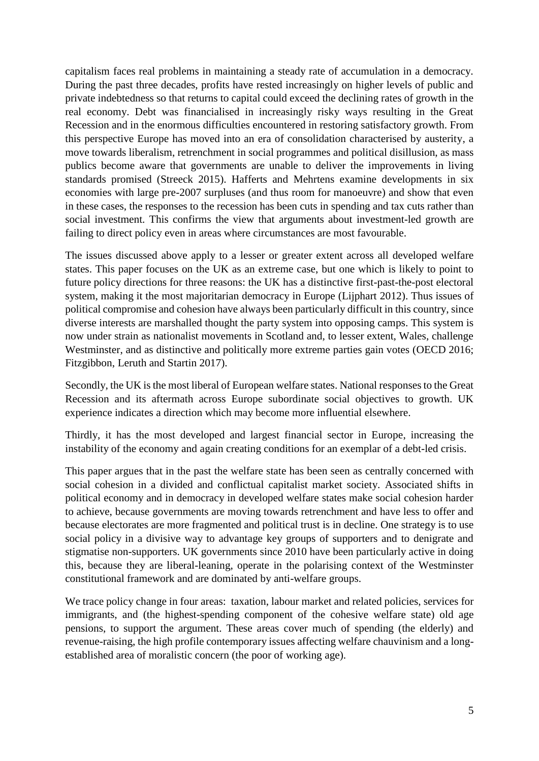capitalism faces real problems in maintaining a steady rate of accumulation in a democracy. During the past three decades, profits have rested increasingly on higher levels of public and private indebtedness so that returns to capital could exceed the declining rates of growth in the real economy. Debt was financialised in increasingly risky ways resulting in the Great Recession and in the enormous difficulties encountered in restoring satisfactory growth. From this perspective Europe has moved into an era of consolidation characterised by austerity, a move towards liberalism, retrenchment in social programmes and political disillusion, as mass publics become aware that governments are unable to deliver the improvements in living standards promised (Streeck 2015). Hafferts and Mehrtens examine developments in six economies with large pre-2007 surpluses (and thus room for manoeuvre) and show that even in these cases, the responses to the recession has been cuts in spending and tax cuts rather than social investment. This confirms the view that arguments about investment-led growth are failing to direct policy even in areas where circumstances are most favourable.

The issues discussed above apply to a lesser or greater extent across all developed welfare states. This paper focuses on the UK as an extreme case, but one which is likely to point to future policy directions for three reasons: the UK has a distinctive first-past-the-post electoral system, making it the most majoritarian democracy in Europe (Lijphart 2012). Thus issues of political compromise and cohesion have always been particularly difficult in this country, since diverse interests are marshalled thought the party system into opposing camps. This system is now under strain as nationalist movements in Scotland and, to lesser extent, Wales, challenge Westminster, and as distinctive and politically more extreme parties gain votes (OECD 2016; Fitzgibbon, Leruth and Startin 2017).

Secondly, the UK is the most liberal of European welfare states. National responses to the Great Recession and its aftermath across Europe subordinate social objectives to growth. UK experience indicates a direction which may become more influential elsewhere.

Thirdly, it has the most developed and largest financial sector in Europe, increasing the instability of the economy and again creating conditions for an exemplar of a debt-led crisis.

This paper argues that in the past the welfare state has been seen as centrally concerned with social cohesion in a divided and conflictual capitalist market society. Associated shifts in political economy and in democracy in developed welfare states make social cohesion harder to achieve, because governments are moving towards retrenchment and have less to offer and because electorates are more fragmented and political trust is in decline. One strategy is to use social policy in a divisive way to advantage key groups of supporters and to denigrate and stigmatise non-supporters. UK governments since 2010 have been particularly active in doing this, because they are liberal-leaning, operate in the polarising context of the Westminster constitutional framework and are dominated by anti-welfare groups.

We trace policy change in four areas: taxation, labour market and related policies, services for immigrants, and (the highest-spending component of the cohesive welfare state) old age pensions, to support the argument. These areas cover much of spending (the elderly) and revenue-raising, the high profile contemporary issues affecting welfare chauvinism and a longestablished area of moralistic concern (the poor of working age).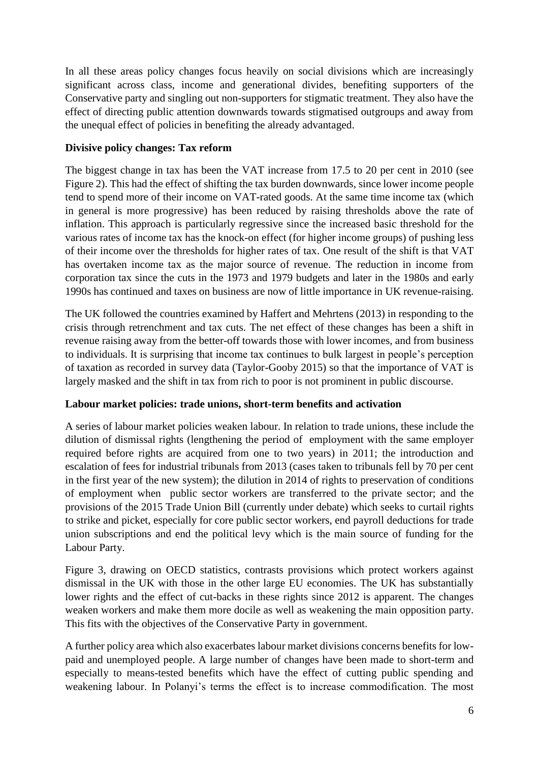In all these areas policy changes focus heavily on social divisions which are increasingly significant across class, income and generational divides, benefiting supporters of the Conservative party and singling out non-supporters for stigmatic treatment. They also have the effect of directing public attention downwards towards stigmatised outgroups and away from the unequal effect of policies in benefiting the already advantaged.

#### **Divisive policy changes: Tax reform**

The biggest change in tax has been the VAT increase from 17.5 to 20 per cent in 2010 (see Figure 2). This had the effect of shifting the tax burden downwards, since lower income people tend to spend more of their income on VAT-rated goods. At the same time income tax (which in general is more progressive) has been reduced by raising thresholds above the rate of inflation. This approach is particularly regressive since the increased basic threshold for the various rates of income tax has the knock-on effect (for higher income groups) of pushing less of their income over the thresholds for higher rates of tax. One result of the shift is that VAT has overtaken income tax as the major source of revenue. The reduction in income from corporation tax since the cuts in the 1973 and 1979 budgets and later in the 1980s and early 1990s has continued and taxes on business are now of little importance in UK revenue-raising.

The UK followed the countries examined by Haffert and Mehrtens (2013) in responding to the crisis through retrenchment and tax cuts. The net effect of these changes has been a shift in revenue raising away from the better-off towards those with lower incomes, and from business to individuals. It is surprising that income tax continues to bulk largest in people's perception of taxation as recorded in survey data (Taylor-Gooby 2015) so that the importance of VAT is largely masked and the shift in tax from rich to poor is not prominent in public discourse.

#### **Labour market policies: trade unions, short-term benefits and activation**

A series of labour market policies weaken labour. In relation to trade unions, these include the dilution of dismissal rights (lengthening the period of employment with the same employer required before rights are acquired from one to two years) in 2011; the introduction and escalation of fees for industrial tribunals from 2013 (cases taken to tribunals fell by 70 per cent in the first year of the new system); the dilution in 2014 of rights to preservation of conditions of employment when public sector workers are transferred to the private sector; and the provisions of the 2015 Trade Union Bill (currently under debate) which seeks to curtail rights to strike and picket, especially for core public sector workers, end payroll deductions for trade union subscriptions and end the political levy which is the main source of funding for the Labour Party.

Figure 3, drawing on OECD statistics, contrasts provisions which protect workers against dismissal in the UK with those in the other large EU economies. The UK has substantially lower rights and the effect of cut-backs in these rights since 2012 is apparent. The changes weaken workers and make them more docile as well as weakening the main opposition party. This fits with the objectives of the Conservative Party in government.

A further policy area which also exacerbates labour market divisions concerns benefits for lowpaid and unemployed people. A large number of changes have been made to short-term and especially to means-tested benefits which have the effect of cutting public spending and weakening labour. In Polanyi's terms the effect is to increase commodification. The most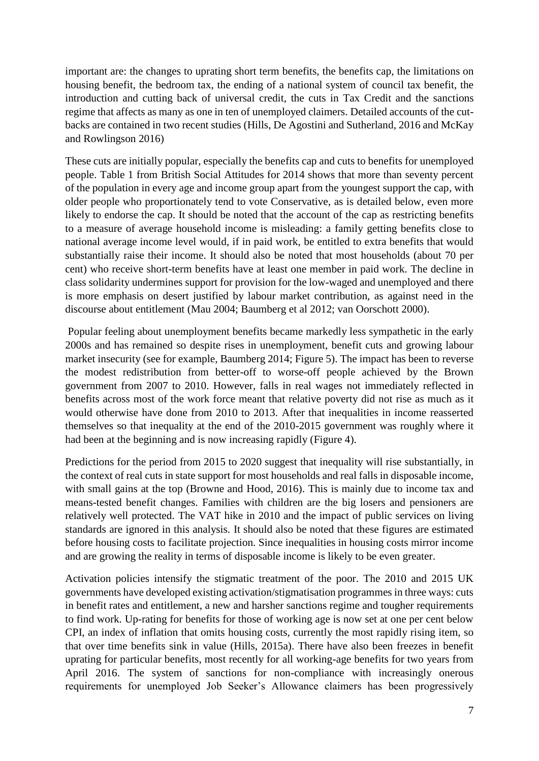important are: the changes to uprating short term benefits, the benefits cap, the limitations on housing benefit, the bedroom tax, the ending of a national system of council tax benefit, the introduction and cutting back of universal credit, the cuts in Tax Credit and the sanctions regime that affects as many as one in ten of unemployed claimers. Detailed accounts of the cutbacks are contained in two recent studies (Hills, De Agostini and Sutherland, 2016 and McKay and Rowlingson 2016)

These cuts are initially popular, especially the benefits cap and cuts to benefits for unemployed people. Table 1 from British Social Attitudes for 2014 shows that more than seventy percent of the population in every age and income group apart from the youngest support the cap, with older people who proportionately tend to vote Conservative, as is detailed below, even more likely to endorse the cap. It should be noted that the account of the cap as restricting benefits to a measure of average household income is misleading: a family getting benefits close to national average income level would, if in paid work, be entitled to extra benefits that would substantially raise their income. It should also be noted that most households (about 70 per cent) who receive short-term benefits have at least one member in paid work. The decline in class solidarity undermines support for provision for the low-waged and unemployed and there is more emphasis on desert justified by labour market contribution, as against need in the discourse about entitlement (Mau 2004; Baumberg et al 2012; van Oorschott 2000).

 Popular feeling about unemployment benefits became markedly less sympathetic in the early 2000s and has remained so despite rises in unemployment, benefit cuts and growing labour market insecurity (see for example, Baumberg 2014; Figure 5). The impact has been to reverse the modest redistribution from better-off to worse-off people achieved by the Brown government from 2007 to 2010. However, falls in real wages not immediately reflected in benefits across most of the work force meant that relative poverty did not rise as much as it would otherwise have done from 2010 to 2013. After that inequalities in income reasserted themselves so that inequality at the end of the 2010-2015 government was roughly where it had been at the beginning and is now increasing rapidly (Figure 4).

Predictions for the period from 2015 to 2020 suggest that inequality will rise substantially, in the context of real cuts in state support for most households and real falls in disposable income, with small gains at the top (Browne and Hood, 2016). This is mainly due to income tax and means-tested benefit changes. Families with children are the big losers and pensioners are relatively well protected. The VAT hike in 2010 and the impact of public services on living standards are ignored in this analysis. It should also be noted that these figures are estimated before housing costs to facilitate projection. Since inequalities in housing costs mirror income and are growing the reality in terms of disposable income is likely to be even greater.

Activation policies intensify the stigmatic treatment of the poor. The 2010 and 2015 UK governments have developed existing activation/stigmatisation programmes in three ways: cuts in benefit rates and entitlement, a new and harsher sanctions regime and tougher requirements to find work. Up-rating for benefits for those of working age is now set at one per cent below CPI, an index of inflation that omits housing costs, currently the most rapidly rising item, so that over time benefits sink in value (Hills, 2015a). There have also been freezes in benefit uprating for particular benefits, most recently for all working-age benefits for two years from April 2016. The system of sanctions for non-compliance with increasingly onerous requirements for unemployed Job Seeker's Allowance claimers has been progressively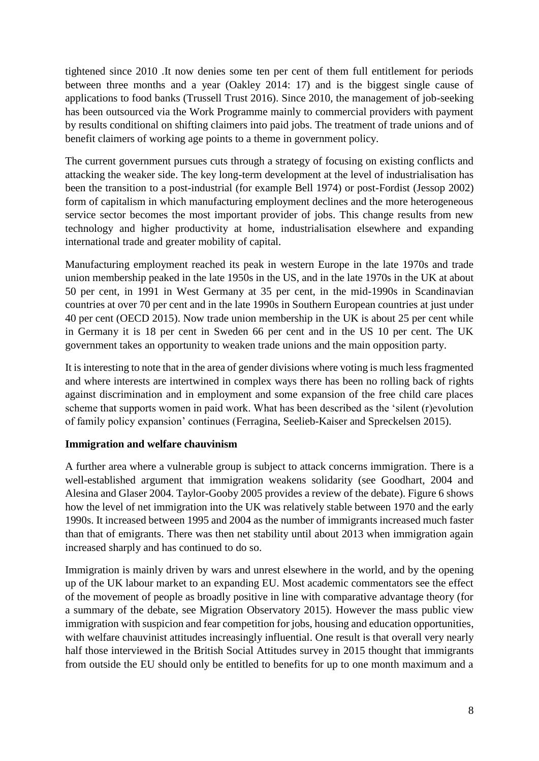tightened since 2010 .It now denies some ten per cent of them full entitlement for periods between three months and a year (Oakley 2014: 17) and is the biggest single cause of applications to food banks (Trussell Trust 2016). Since 2010, the management of job-seeking has been outsourced via the Work Programme mainly to commercial providers with payment by results conditional on shifting claimers into paid jobs. The treatment of trade unions and of benefit claimers of working age points to a theme in government policy.

The current government pursues cuts through a strategy of focusing on existing conflicts and attacking the weaker side. The key long-term development at the level of industrialisation has been the transition to a post-industrial (for example Bell 1974) or post-Fordist (Jessop 2002) form of capitalism in which manufacturing employment declines and the more heterogeneous service sector becomes the most important provider of jobs. This change results from new technology and higher productivity at home, industrialisation elsewhere and expanding international trade and greater mobility of capital.

Manufacturing employment reached its peak in western Europe in the late 1970s and trade union membership peaked in the late 1950s in the US, and in the late 1970s in the UK at about 50 per cent, in 1991 in West Germany at 35 per cent, in the mid-1990s in Scandinavian countries at over 70 per cent and in the late 1990s in Southern European countries at just under 40 per cent (OECD 2015). Now trade union membership in the UK is about 25 per cent while in Germany it is 18 per cent in Sweden 66 per cent and in the US 10 per cent. The UK government takes an opportunity to weaken trade unions and the main opposition party.

It is interesting to note that in the area of gender divisions where voting is much less fragmented and where interests are intertwined in complex ways there has been no rolling back of rights against discrimination and in employment and some expansion of the free child care places scheme that supports women in paid work. What has been described as the 'silent (r)evolution of family policy expansion' continues (Ferragina, Seelieb-Kaiser and Spreckelsen 2015).

#### **Immigration and welfare chauvinism**

A further area where a vulnerable group is subject to attack concerns immigration. There is a well-established argument that immigration weakens solidarity (see Goodhart, 2004 and Alesina and Glaser 2004. Taylor-Gooby 2005 provides a review of the debate). Figure 6 shows how the level of net immigration into the UK was relatively stable between 1970 and the early 1990s. It increased between 1995 and 2004 as the number of immigrants increased much faster than that of emigrants. There was then net stability until about 2013 when immigration again increased sharply and has continued to do so.

Immigration is mainly driven by wars and unrest elsewhere in the world, and by the opening up of the UK labour market to an expanding EU. Most academic commentators see the effect of the movement of people as broadly positive in line with comparative advantage theory (for a summary of the debate, see Migration Observatory 2015). However the mass public view immigration with suspicion and fear competition for jobs, housing and education opportunities, with welfare chauvinist attitudes increasingly influential. One result is that overall very nearly half those interviewed in the British Social Attitudes survey in 2015 thought that immigrants from outside the EU should only be entitled to benefits for up to one month maximum and a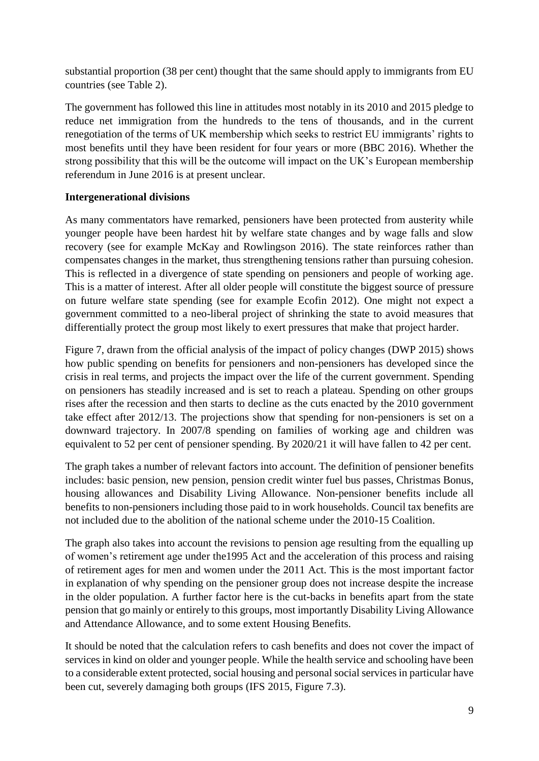substantial proportion (38 per cent) thought that the same should apply to immigrants from EU countries (see Table 2).

The government has followed this line in attitudes most notably in its 2010 and 2015 pledge to reduce net immigration from the hundreds to the tens of thousands, and in the current renegotiation of the terms of UK membership which seeks to restrict EU immigrants' rights to most benefits until they have been resident for four years or more (BBC 2016). Whether the strong possibility that this will be the outcome will impact on the UK's European membership referendum in June 2016 is at present unclear.

#### **Intergenerational divisions**

As many commentators have remarked, pensioners have been protected from austerity while younger people have been hardest hit by welfare state changes and by wage falls and slow recovery (see for example McKay and Rowlingson 2016). The state reinforces rather than compensates changes in the market, thus strengthening tensions rather than pursuing cohesion. This is reflected in a divergence of state spending on pensioners and people of working age. This is a matter of interest. After all older people will constitute the biggest source of pressure on future welfare state spending (see for example Ecofin 2012). One might not expect a government committed to a neo-liberal project of shrinking the state to avoid measures that differentially protect the group most likely to exert pressures that make that project harder.

Figure 7, drawn from the official analysis of the impact of policy changes (DWP 2015) shows how public spending on benefits for pensioners and non-pensioners has developed since the crisis in real terms, and projects the impact over the life of the current government. Spending on pensioners has steadily increased and is set to reach a plateau. Spending on other groups rises after the recession and then starts to decline as the cuts enacted by the 2010 government take effect after 2012/13. The projections show that spending for non-pensioners is set on a downward trajectory. In 2007/8 spending on families of working age and children was equivalent to 52 per cent of pensioner spending. By 2020/21 it will have fallen to 42 per cent.

The graph takes a number of relevant factors into account. The definition of pensioner benefits includes: basic pension, new pension, pension credit winter fuel bus passes, Christmas Bonus, housing allowances and Disability Living Allowance. Non-pensioner benefits include all benefits to non-pensioners including those paid to in work households. Council tax benefits are not included due to the abolition of the national scheme under the 2010-15 Coalition.

The graph also takes into account the revisions to pension age resulting from the equalling up of women's retirement age under the1995 Act and the acceleration of this process and raising of retirement ages for men and women under the 2011 Act. This is the most important factor in explanation of why spending on the pensioner group does not increase despite the increase in the older population. A further factor here is the cut-backs in benefits apart from the state pension that go mainly or entirely to this groups, most importantly Disability Living Allowance and Attendance Allowance, and to some extent Housing Benefits.

It should be noted that the calculation refers to cash benefits and does not cover the impact of services in kind on older and younger people. While the health service and schooling have been to a considerable extent protected, social housing and personal social services in particular have been cut, severely damaging both groups (IFS 2015, Figure 7.3).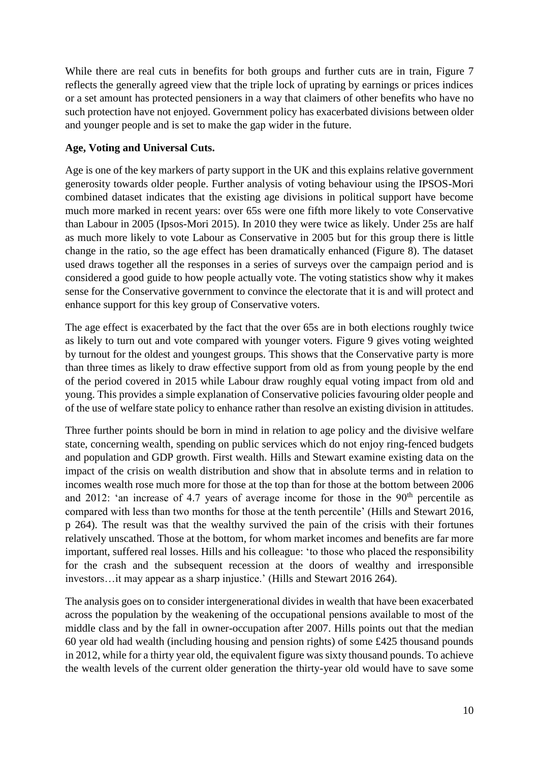While there are real cuts in benefits for both groups and further cuts are in train, Figure 7 reflects the generally agreed view that the triple lock of uprating by earnings or prices indices or a set amount has protected pensioners in a way that claimers of other benefits who have no such protection have not enjoyed. Government policy has exacerbated divisions between older and younger people and is set to make the gap wider in the future.

#### **Age, Voting and Universal Cuts.**

Age is one of the key markers of party support in the UK and this explains relative government generosity towards older people. Further analysis of voting behaviour using the IPSOS-Mori combined dataset indicates that the existing age divisions in political support have become much more marked in recent years: over 65s were one fifth more likely to vote Conservative than Labour in 2005 (Ipsos-Mori 2015). In 2010 they were twice as likely. Under 25s are half as much more likely to vote Labour as Conservative in 2005 but for this group there is little change in the ratio, so the age effect has been dramatically enhanced (Figure 8). The dataset used draws together all the responses in a series of surveys over the campaign period and is considered a good guide to how people actually vote. The voting statistics show why it makes sense for the Conservative government to convince the electorate that it is and will protect and enhance support for this key group of Conservative voters.

The age effect is exacerbated by the fact that the over 65s are in both elections roughly twice as likely to turn out and vote compared with younger voters. Figure 9 gives voting weighted by turnout for the oldest and youngest groups. This shows that the Conservative party is more than three times as likely to draw effective support from old as from young people by the end of the period covered in 2015 while Labour draw roughly equal voting impact from old and young. This provides a simple explanation of Conservative policies favouring older people and of the use of welfare state policy to enhance rather than resolve an existing division in attitudes.

Three further points should be born in mind in relation to age policy and the divisive welfare state, concerning wealth, spending on public services which do not enjoy ring-fenced budgets and population and GDP growth. First wealth. Hills and Stewart examine existing data on the impact of the crisis on wealth distribution and show that in absolute terms and in relation to incomes wealth rose much more for those at the top than for those at the bottom between 2006 and 2012: 'an increase of 4.7 years of average income for those in the  $90<sup>th</sup>$  percentile as compared with less than two months for those at the tenth percentile' (Hills and Stewart 2016, p 264). The result was that the wealthy survived the pain of the crisis with their fortunes relatively unscathed. Those at the bottom, for whom market incomes and benefits are far more important, suffered real losses. Hills and his colleague: 'to those who placed the responsibility for the crash and the subsequent recession at the doors of wealthy and irresponsible investors…it may appear as a sharp injustice.' (Hills and Stewart 2016 264).

The analysis goes on to consider intergenerational divides in wealth that have been exacerbated across the population by the weakening of the occupational pensions available to most of the middle class and by the fall in owner-occupation after 2007. Hills points out that the median 60 year old had wealth (including housing and pension rights) of some £425 thousand pounds in 2012, while for a thirty year old, the equivalent figure was sixty thousand pounds. To achieve the wealth levels of the current older generation the thirty-year old would have to save some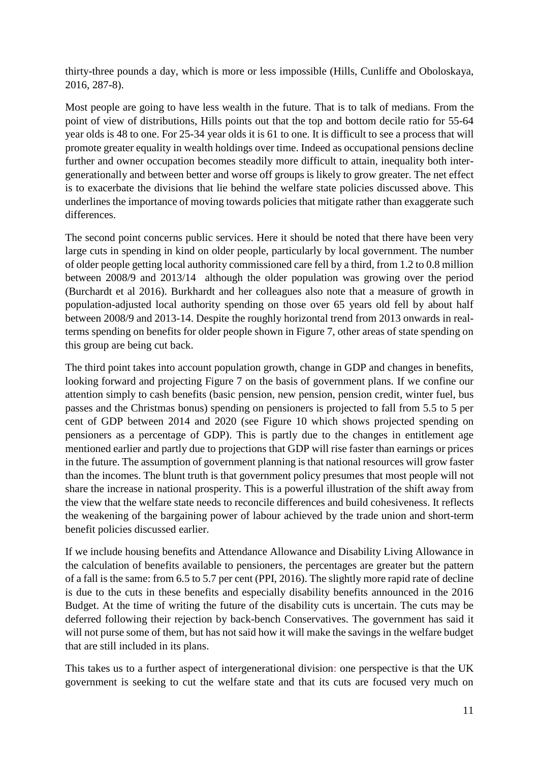thirty-three pounds a day, which is more or less impossible (Hills, Cunliffe and Oboloskaya, 2016, 287-8).

Most people are going to have less wealth in the future. That is to talk of medians. From the point of view of distributions, Hills points out that the top and bottom decile ratio for 55-64 year olds is 48 to one. For 25-34 year olds it is 61 to one. It is difficult to see a process that will promote greater equality in wealth holdings over time. Indeed as occupational pensions decline further and owner occupation becomes steadily more difficult to attain, inequality both intergenerationally and between better and worse off groups is likely to grow greater. The net effect is to exacerbate the divisions that lie behind the welfare state policies discussed above. This underlines the importance of moving towards policies that mitigate rather than exaggerate such differences.

The second point concerns public services. Here it should be noted that there have been very large cuts in spending in kind on older people, particularly by local government. The number of older people getting local authority commissioned care fell by a third, from 1.2 to 0.8 million between 2008/9 and 2013/14 although the older population was growing over the period (Burchardt et al 2016). Burkhardt and her colleagues also note that a measure of growth in population-adjusted local authority spending on those over 65 years old fell by about half between 2008/9 and 2013-14. Despite the roughly horizontal trend from 2013 onwards in realterms spending on benefits for older people shown in Figure 7, other areas of state spending on this group are being cut back.

The third point takes into account population growth, change in GDP and changes in benefits, looking forward and projecting Figure 7 on the basis of government plans. If we confine our attention simply to cash benefits (basic pension, new pension, pension credit, winter fuel, bus passes and the Christmas bonus) spending on pensioners is projected to fall from 5.5 to 5 per cent of GDP between 2014 and 2020 (see Figure 10 which shows projected spending on pensioners as a percentage of GDP). This is partly due to the changes in entitlement age mentioned earlier and partly due to projections that GDP will rise faster than earnings or prices in the future. The assumption of government planning is that national resources will grow faster than the incomes. The blunt truth is that government policy presumes that most people will not share the increase in national prosperity. This is a powerful illustration of the shift away from the view that the welfare state needs to reconcile differences and build cohesiveness. It reflects the weakening of the bargaining power of labour achieved by the trade union and short-term benefit policies discussed earlier.

If we include housing benefits and Attendance Allowance and Disability Living Allowance in the calculation of benefits available to pensioners, the percentages are greater but the pattern of a fall is the same: from 6.5 to 5.7 per cent (PPI, 2016). The slightly more rapid rate of decline is due to the cuts in these benefits and especially disability benefits announced in the 2016 Budget. At the time of writing the future of the disability cuts is uncertain. The cuts may be deferred following their rejection by back-bench Conservatives. The government has said it will not purse some of them, but has not said how it will make the savings in the welfare budget that are still included in its plans.

This takes us to a further aspect of intergenerational division: one perspective is that the UK government is seeking to cut the welfare state and that its cuts are focused very much on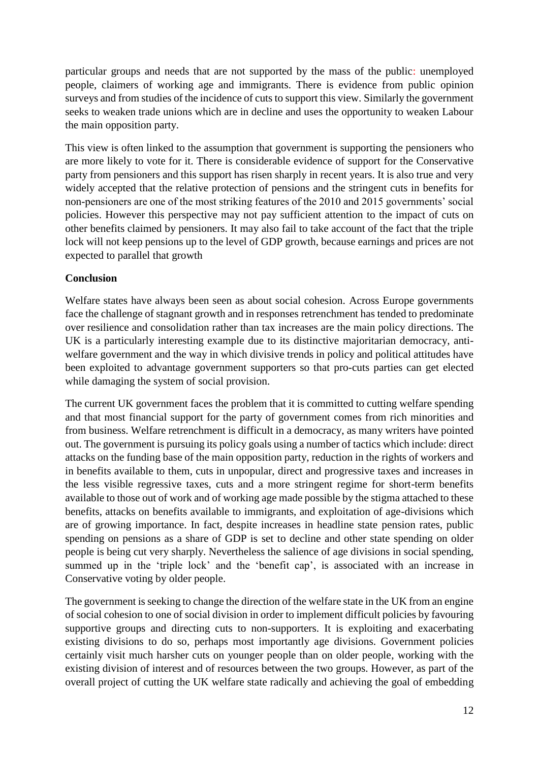particular groups and needs that are not supported by the mass of the public: unemployed people, claimers of working age and immigrants. There is evidence from public opinion surveys and from studies of the incidence of cuts to support this view. Similarly the government seeks to weaken trade unions which are in decline and uses the opportunity to weaken Labour the main opposition party.

This view is often linked to the assumption that government is supporting the pensioners who are more likely to vote for it. There is considerable evidence of support for the Conservative party from pensioners and this support has risen sharply in recent years. It is also true and very widely accepted that the relative protection of pensions and the stringent cuts in benefits for non-pensioners are one of the most striking features of the 2010 and 2015 governments' social policies. However this perspective may not pay sufficient attention to the impact of cuts on other benefits claimed by pensioners. It may also fail to take account of the fact that the triple lock will not keep pensions up to the level of GDP growth, because earnings and prices are not expected to parallel that growth

#### **Conclusion**

Welfare states have always been seen as about social cohesion. Across Europe governments face the challenge of stagnant growth and in responses retrenchment has tended to predominate over resilience and consolidation rather than tax increases are the main policy directions. The UK is a particularly interesting example due to its distinctive majoritarian democracy, antiwelfare government and the way in which divisive trends in policy and political attitudes have been exploited to advantage government supporters so that pro-cuts parties can get elected while damaging the system of social provision.

The current UK government faces the problem that it is committed to cutting welfare spending and that most financial support for the party of government comes from rich minorities and from business. Welfare retrenchment is difficult in a democracy, as many writers have pointed out. The government is pursuing its policy goals using a number of tactics which include: direct attacks on the funding base of the main opposition party, reduction in the rights of workers and in benefits available to them, cuts in unpopular, direct and progressive taxes and increases in the less visible regressive taxes, cuts and a more stringent regime for short-term benefits available to those out of work and of working age made possible by the stigma attached to these benefits, attacks on benefits available to immigrants, and exploitation of age-divisions which are of growing importance. In fact, despite increases in headline state pension rates, public spending on pensions as a share of GDP is set to decline and other state spending on older people is being cut very sharply. Nevertheless the salience of age divisions in social spending, summed up in the 'triple lock' and the 'benefit cap', is associated with an increase in Conservative voting by older people.

The government is seeking to change the direction of the welfare state in the UK from an engine of social cohesion to one of social division in order to implement difficult policies by favouring supportive groups and directing cuts to non-supporters. It is exploiting and exacerbating existing divisions to do so, perhaps most importantly age divisions. Government policies certainly visit much harsher cuts on younger people than on older people, working with the existing division of interest and of resources between the two groups. However, as part of the overall project of cutting the UK welfare state radically and achieving the goal of embedding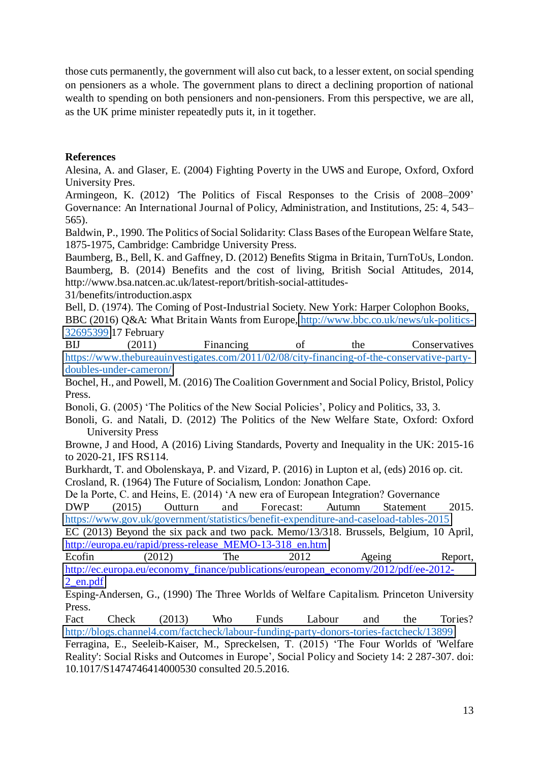those cuts permanently, the government will also cut back, to a lesser extent, on social spending on pensioners as a whole. The government plans to direct a declining proportion of national wealth to spending on both pensioners and non-pensioners. From this perspective, we are all, as the UK prime minister repeatedly puts it, in it together.

#### **References**

Alesina, A. and Glaser, E. (2004) Fighting Poverty in the UWS and Europe, Oxford, Oxford University Pres.

Armingeon, K. (2012) *'*The Politics of Fiscal Responses to the Crisis of 2008–2009' Governance: An International Journal of Policy, Administration, and Institutions, 25: 4, 543– 565).

Baldwin, P., 1990. The Politics of Social Solidarity: Class Bases of the European Welfare State, 1875-1975, Cambridge: Cambridge University Press.

Baumberg, B., Bell, K. and Gaffney, D. (2012) Benefits Stigma in Britain, TurnToUs, London. Baumberg, B. (2014) Benefits and the cost of living, British Social Attitudes, 2014, http://www.bsa.natcen.ac.uk/latest-report/british-social-attitudes-

31/benefits/introduction.aspx

Bell, D. (1974). The Coming of Post-Industrial Society. New York: Harper Colophon Books, BBC (2016) Q&A: What Britain Wants from Europe, [http://www.bbc.co.uk/news/uk-politics-](http://www.bbc.co.uk/news/uk-politics-32695399)[32695399](http://www.bbc.co.uk/news/uk-politics-32695399) 17 February

BIJ (2011) Financing of the Conservatives [https://www.thebureauinvestigates.com/2011/02/08/city-financing-of-the-conservative-party](https://www.thebureauinvestigates.com/2011/02/08/city-financing-of-the-conservative-party-doubles-under-cameron/)[doubles-under-cameron/](https://www.thebureauinvestigates.com/2011/02/08/city-financing-of-the-conservative-party-doubles-under-cameron/)

Bochel, H., and Powell, M. (2016) The Coalition Government and Social Policy, Bristol, Policy Press.

Bonoli, G. (2005) 'The Politics of the New Social Policies', Policy and Politics, 33, 3.

Bonoli, G. and Natali, D. (2012) The Politics of the New Welfare State, Oxford: Oxford University Press

Browne, J and Hood, A (2016) Living Standards, Poverty and Inequality in the UK: 2015-16 to 2020-21, IFS RS114.

Burkhardt, T. and Obolenskaya, P. and Vizard, P. (2016) in Lupton et al, (eds) 2016 op. cit.

Crosland, R. (1964) The Future of Socialism, London: Jonathon Cape.

De la Porte, C. and Heins, E. (2014) 'A new era of European Integration? Governance

DWP (2015) Outturn and Forecast: Autumn Statement 2015. <https://www.gov.uk/government/statistics/benefit-expenditure-and-caseload-tables-2015>

EC (2013) Beyond the six pack and two pack. Memo/13/318. Brussels, Belgium, 10 April, [http://europa.eu/rapid/press-release\\_MEMO-13-318\\_en.htm](http://europa.eu/rapid/press-release_MEMO-13-318_en.htm)

Ecofin (2012) The 2012 Ageing Report, [http://ec.europa.eu/economy\\_finance/publications/european\\_economy/2012/pdf/ee-2012-](http://ec.europa.eu/economy_finance/publications/european_economy/2012/pdf/ee-2012-2_en.pdf) [2\\_en.pdf](http://ec.europa.eu/economy_finance/publications/european_economy/2012/pdf/ee-2012-2_en.pdf) 

Esping-Andersen, G., (1990) The Three Worlds of Welfare Capitalism. Princeton University Press.

Fact Check (2013) Who Funds Labour and the Tories? <http://blogs.channel4.com/factcheck/labour-funding-party-donors-tories-factcheck/13899>

Ferragina, E., Seeleib-Kaiser, M., Spreckelsen, T. (2015) 'The Four Worlds of 'Welfare Reality': Social Risks and Outcomes in Europe', Social Policy and Society 14: 2 287-307. doi: 10.1017/S1474746414000530 consulted 20.5.2016.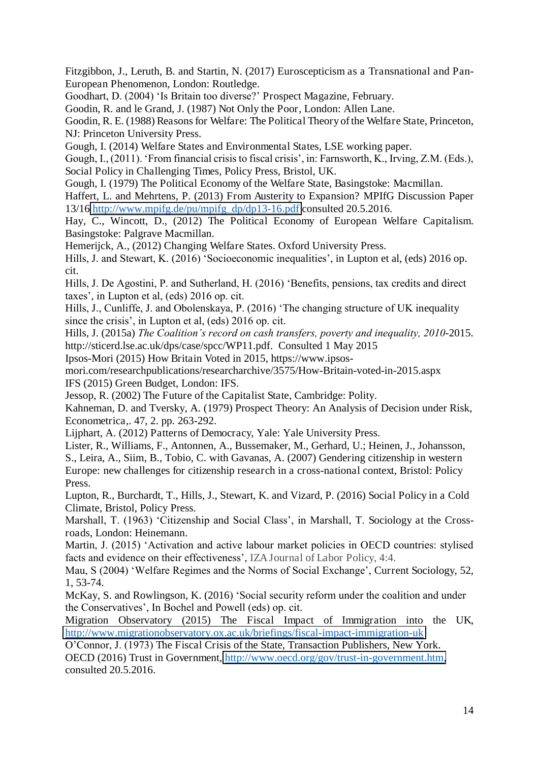Fitzgibbon, J., Leruth, B. and Startin, N. (2017) Euroscepticism as a Transnational and Pan-European Phenomenon, London: Routledge.

Goodhart, D. (2004) 'Is Britain too diverse?' Prospect Magazine, February.

Goodin, R. and le Grand, J. (1987) Not Only the Poor, London: Allen Lane.

Goodin, R. E. (1988) Reasons for Welfare: The Political Theory of the Welfare State, Princeton, NJ: Princeton University Press.

Gough, I. (2014) Welfare States and Environmental States, LSE working paper.

Gough, I., (2011). 'From financial crisis to fiscal crisis', in: Farnsworth, K., Irving, Z.M. (Eds.), Social Policy in Challenging Times, Policy Press, Bristol, UK.

Gough, I. (1979) The Political Economy of the Welfare State, Basingstoke: Macmillan.

Haffert, L. and Mehrtens, P. (2013) From Austerity to Expansion? MPIfG Discussion Paper 13/16 [http://www.mpifg.de/pu/mpifg\\_dp/dp13-16.pdf](http://www.mpifg.de/pu/mpifg_dp/dp13-16.pdf) consulted 20.5.2016.

Hay, C., Wincott, D., (2012) The Political Economy of European Welfare Capitalism. Basingstoke: Palgrave Macmillan.

Hemerijck, A., (2012) Changing Welfare States. Oxford University Press.

Hills, J. and Stewart, K. (2016) 'Socioeconomic inequalities', in Lupton et al, (eds) 2016 op. cit.

Hills, J. De Agostini, P. and Sutherland, H. (2016) 'Benefits, pensions, tax credits and direct taxes', in Lupton et al, (eds) 2016 op. cit.

Hills, J., Cunliffe, J. and Obolenskaya, P. (2016) 'The changing structure of UK inequality since the crisis', in Lupton et al, (eds) 2016 op. cit.

Hills, J. (2015a) *The Coalition's record on cash transfers, poverty and inequality, 2010*-2015. http://sticerd.lse.ac.uk/dps/case/spcc/WP11.pdf. Consulted 1 May 2015

Ipsos-Mori (2015) How Britain Voted in 2015, https://www.ipsos-

mori.com/researchpublications/researcharchive/3575/How-Britain-voted-in-2015.aspx IFS (2015) Green Budget, London: IFS.

Jessop, R. (2002) The Future of the Capitalist State, Cambridge: Polity.

Kahneman, D. and Tversky, A. (1979) Prospect Theory: An Analysis of Decision under Risk, Econometrica,. 47, 2. pp. 263-292.

Lijphart, A. (2012) Patterns of Democracy, Yale: Yale University Press.

Lister, R., Williams, F., Antonnen, A., Bussemaker, M., Gerhard, U.; Heinen, J., Johansson, S., Leira, A., Siim, B., Tobio, C. with Gavanas, A. (2007) Gendering citizenship in western Europe: new challenges for citizenship research in a cross-national context, Bristol: Policy Press.

Lupton, R., Burchardt, T., Hills, J., Stewart, K. and Vizard, P. (2016) Social Policy in a Cold Climate, Bristol, Policy Press.

Marshall, T. (1963) 'Citizenship and Social Class', in Marshall, T. Sociology at the Crossroads, London: Heinemann.

Martin, J. (2015) 'Activation and active labour market policies in OECD countries: stylised facts and evidence on their effectiveness', IZA Journal of Labor Policy, 4:4.

Mau, S (2004) 'Welfare Regimes and the Norms of Social Exchange', Current Sociology, 52, 1, 53-74.

McKay, S. and Rowlingson, K. (2016) 'Social security reform under the coalition and under the Conservatives', In Bochel and Powell (eds) op. cit.

Migration Observatory (2015) The Fiscal Impact of Immigration into the UK, <http://www.migrationobservatory.ox.ac.uk/briefings/fiscal-impact-immigration-uk>

O'Connor, J. (1973) The Fiscal Crisis of the State, Transaction Publishers, New York.

OECD (2016) Trust in Government, [http://www.oecd.org/gov/trust-in-government.htm,](http://www.oecd.org/gov/trust-in-government.htm) consulted 20.5.2016.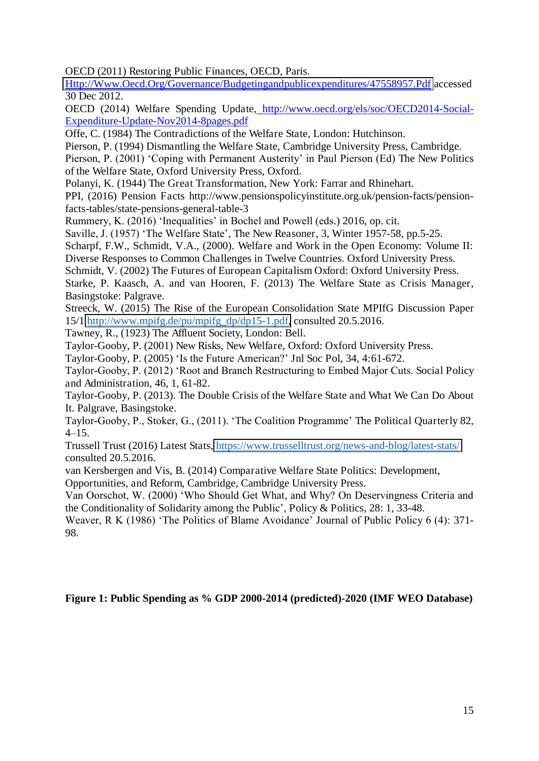OECD (2011) Restoring Public Finances, OECD, Paris.

[Http://Www.Oecd.Org/Governance/Budgetingandpublicexpenditures/47558957.Pdf](http://www.oecd.org/Governance/Budgetingandpublicexpenditures/47558957.Pdf) accessed 30 Dec 2012.

OECD (2014) Welfare Spending Update, http://www.oecd.org/els/soc/OECD2014-Social-Expenditure-Update-Nov2014-8pages.pdf

Offe, C. (1984) The Contradictions of the Welfare State, London: Hutchinson.

Pierson, P. (1994) Dismantling the Welfare State, Cambridge University Press, Cambridge.

Pierson, P. (2001) 'Coping with Permanent Austerity' in Paul Pierson (Ed) The New Politics of the Welfare State, Oxford University Press, Oxford.

Polanyi, K. (1944) The Great Transformation, New York: Farrar and Rhinehart.

PPI, (2016) Pension Facts http://www.pensionspolicyinstitute.org.uk/pension-facts/pensionfacts-tables/state-pensions-general-table-3

Rummery, K. (2016) 'Inequalities' in Bochel and Powell (eds.) 2016, op. cit.

Saville, J. (1957) 'The Welfare State', The New Reasoner, 3, Winter 1957-58, pp.5-25.

Scharpf, F.W., Schmidt, V.A., (2000). Welfare and Work in the Open Economy: Volume II: Diverse Responses to Common Challenges in Twelve Countries. Oxford University Press.

Schmidt, V. (2002) The Futures of European Capitalism Oxford: Oxford University Press.

Starke, P. Kaasch, A. and van Hooren, F. (2013) The Welfare State as Crisis Manager, Basingstoke: Palgrave.

Streeck, W. (2015) The Rise of the European Consolidation State MPIfG Discussion Paper 15/1 [http://www.mpifg.de/pu/mpifg\\_dp/dp15-1.pdf,](http://www.mpifg.de/pu/mpifg_dp/dp15-1.pdf) consulted 20.5.2016.

Tawney, R., (1923) The Affluent Society, London: Bell.

Taylor-Gooby, P. (2001) New Risks, New Welfare, Oxford: Oxford University Press.

Taylor-Gooby, P. (2005) 'Is the Future American?' Jnl Soc Pol, 34, 4:61-672.

Taylor-Gooby, P. (2012) 'Root and Branch Restructuring to Embed Major Cuts. Social Policy and Administration, 46, 1, 61-82.

Taylor-Gooby, P. (2013). The Double Crisis of the Welfare State and What We Can Do About It. Palgrave, Basingstoke.

Taylor-Gooby, P., Stoker, G., (2011). 'The Coalition Programme' The Political Quarterly 82,  $4-15.$ 

Trussell Trust (2016) Latest Stats,<https://www.trusselltrust.org/news-and-blog/latest-stats/> consulted 20.5.2016.

van Kersbergen and Vis, B. (2014) Comparative Welfare State Politics: Development,

Opportunities, and Reform, Cambridge, Cambridge University Press.

Van Oorschot, W. (2000) 'Who Should Get What, and Why? On Deservingness Criteria and the Conditionality of Solidarity among the Public', Policy & Politics, 28: 1, 33-48.

Weaver, R K (1986) 'The Politics of Blame Avoidance' Journal of Public Policy 6 (4): 371- 98.

#### **Figure 1: Public Spending as % GDP 2000-2014 (predicted)-2020 (IMF WEO Database)**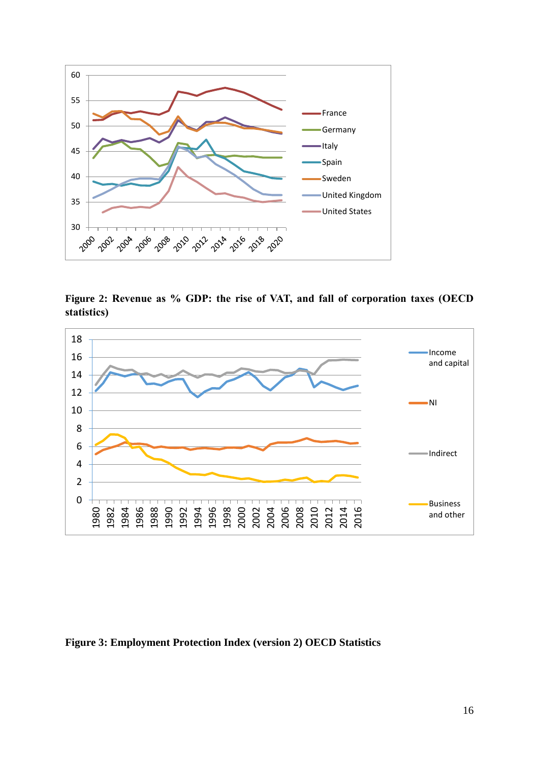

**Figure 2: Revenue as % GDP: the rise of VAT, and fall of corporation taxes (OECD statistics)**



**Figure 3: Employment Protection Index (version 2) OECD Statistics**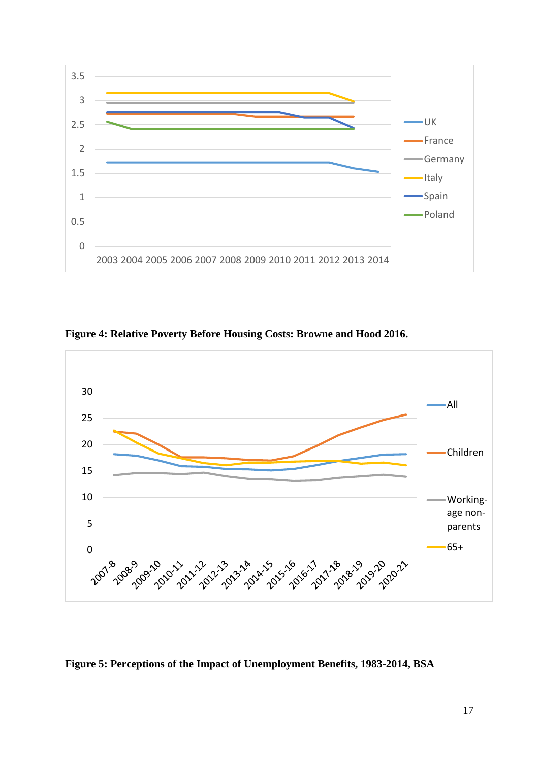

**Figure 4: Relative Poverty Before Housing Costs: Browne and Hood 2016.** 



**Figure 5: Perceptions of the Impact of Unemployment Benefits, 1983-2014, BSA**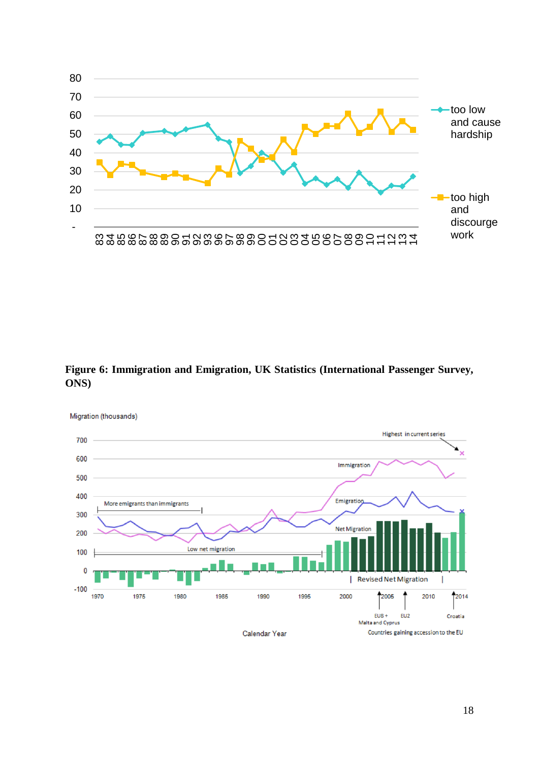

**Figure 6: Immigration and Emigration, UK Statistics (International Passenger Survey, ONS)** 



18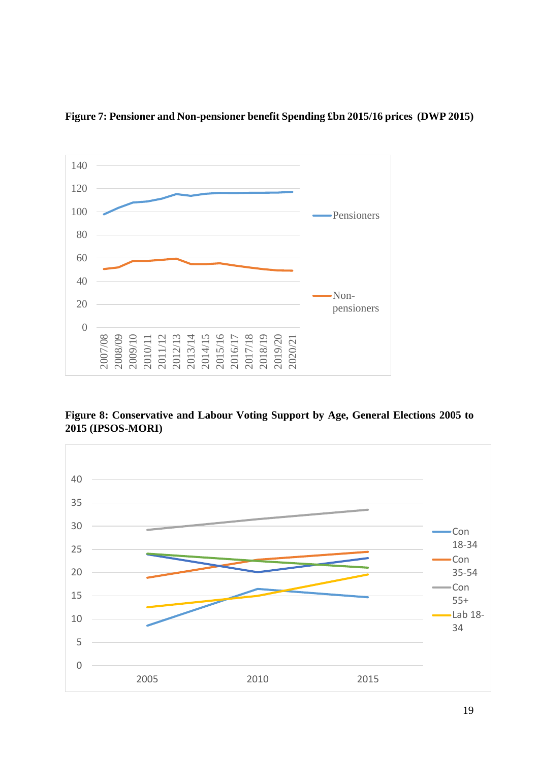



**Figure 8: Conservative and Labour Voting Support by Age, General Elections 2005 to 2015 (IPSOS-MORI)** 

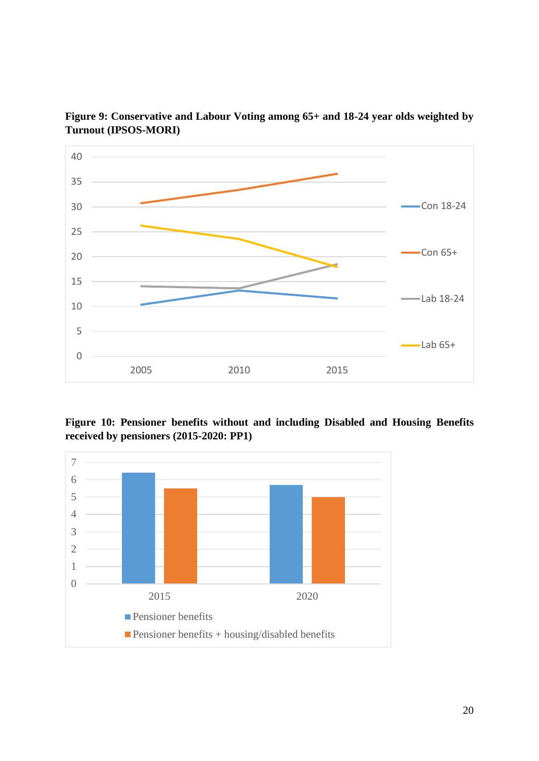

**Figure 9: Conservative and Labour Voting among 65+ and 18-24 year olds weighted by Turnout (IPSOS-MORI)** 

**Figure 10: Pensioner benefits without and including Disabled and Housing Benefits received by pensioners (2015-2020: PP1)** 

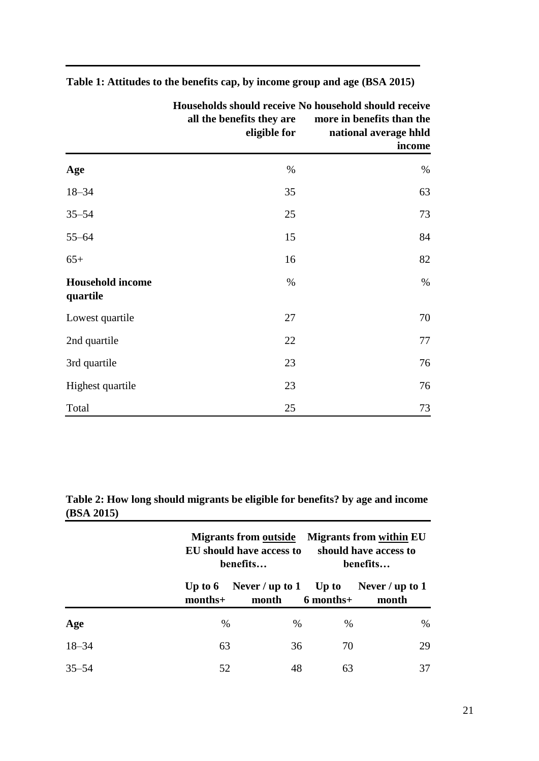|                                     | Households should receive No household should receive<br>all the benefits they are<br>eligible for | more in benefits than the<br>national average hhld<br>income |  |
|-------------------------------------|----------------------------------------------------------------------------------------------------|--------------------------------------------------------------|--|
| Age                                 | $\%$                                                                                               | $\%$                                                         |  |
| $18 - 34$                           | 35                                                                                                 | 63                                                           |  |
| $35 - 54$                           | 25                                                                                                 | 73                                                           |  |
| $55 - 64$                           | 15                                                                                                 | 84                                                           |  |
| $65+$                               | 16                                                                                                 | 82                                                           |  |
| <b>Household income</b><br>quartile | %                                                                                                  | %                                                            |  |
| Lowest quartile                     | 27                                                                                                 | 70                                                           |  |
| 2nd quartile                        | 22                                                                                                 | 77                                                           |  |
| 3rd quartile                        | 23                                                                                                 | 76                                                           |  |
| Highest quartile                    | 23                                                                                                 | 76                                                           |  |
| Total                               | 25                                                                                                 | 73                                                           |  |

**Table 1: Attitudes to the benefits cap, by income group and age (BSA 2015)** 

**Table 2: How long should migrants be eligible for benefits? by age and income (BSA 2015)** 

|           |         | <b>Migrants from outside</b><br>EU should have access to<br>benefits |               | <b>Migrants from within EU</b><br>should have access to<br>benefits |  |
|-----------|---------|----------------------------------------------------------------------|---------------|---------------------------------------------------------------------|--|
|           | months+ | month                                                                | 6 months+     | Up to 6 Never / up to 1 Up to Never / up to 1<br>month              |  |
| Age       | $\%$    | $\%$                                                                 | $\frac{0}{0}$ | %                                                                   |  |
| $18 - 34$ | 63      | 36                                                                   | 70            | 29                                                                  |  |
| $35 - 54$ | 52      | 48                                                                   | 63            | 37                                                                  |  |